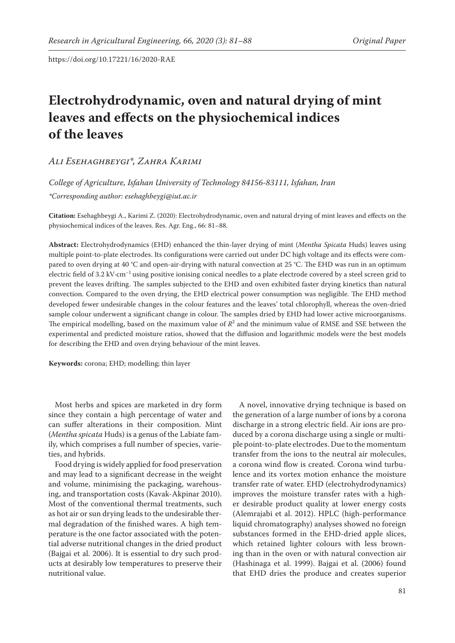# **Electrohydrodynamic, oven and natural drying of mint leaves and effects on the physiochemical indices of the leaves**

## *Ali Esehaghbeygi\*, Zahra Karimi*

*College of Agriculture, Isfahan University of Technology 84156-83111, Isfahan, Iran \*Corresponding author: esehaghbeygi@iut.ac.ir*

**Citation:** Esehaghbeygi A., Karimi Z. (2020): Electrohydrodynamic, oven and natural drying of mint leaves and effects on the physiochemical indices of the leaves. Res. Agr. Eng., 66: 81–88.

**Abstract:** Electrohydrodynamics (EHD) enhanced the thin-layer drying of mint (*Mentha Spicata* Huds) leaves using multiple point-to-plate electrodes. Its configurations were carried out under DC high voltage and its effects were compared to oven drying at 40 °C and open-air-drying with natural convection at 25 °C. The EHD was run in an optimum electric field of 3.2 kV·cm<sup>-1</sup> using positive ionising conical needles to a plate electrode covered by a steel screen grid to prevent the leaves drifting. The samples subjected to the EHD and oven exhibited faster drying kinetics than natural convection. Compared to the oven drying, the EHD electrical power consumption was negligible. The EHD method developed fewer undesirable changes in the colour features and the leaves' total chlorophyll, whereas the oven-dried sample colour underwent a significant change in colour. The samples dried by EHD had lower active microorganisms. The empirical modelling, based on the maximum value of  $R^2$  and the minimum value of RMSE and SSE between the experimental and predicted moisture ratios, showed that the diffusion and logarithmic models were the best models for describing the EHD and oven drying behaviour of the mint leaves.

**Keywords:** corona; EHD; modelling; thin layer

Most herbs and spices are marketed in dry form since they contain a high percentage of water and can suffer alterations in their composition. Mint (*Mentha spicata* Huds) is a genus of the Labiate family, which comprises a full number of species, varieties, and hybrids.

Food drying is widely applied for food preservation and may lead to a significant decrease in the weight and volume, minimising the packaging, warehousing, and transportation costs (Kavak-Akpinar 2010). Most of the conventional thermal treatments, such as hot air or sun drying leads to the undesirable thermal degradation of the finished wares. A high temperature is the one factor associated with the potential adverse nutritional changes in the dried product (Bajgai et al. 2006). It is essential to dry such products at desirably low temperatures to preserve their nutritional value.

A novel, innovative drying technique is based on the generation of a large number of ions by a corona discharge in a strong electric field. Air ions are produced by a corona discharge using a single or multiple point-to-plate electrodes. Due to the momentum transfer from the ions to the neutral air molecules, a corona wind flow is created. Corona wind turbulence and its vortex motion enhance the moisture transfer rate of water. EHD (electrohydrodynamics) improves the moisture transfer rates with a higher desirable product quality at lower energy costs (Alemrajabi et al. 2012). HPLC (high-performance liquid chromatography) analyses showed no foreign substances formed in the EHD-dried apple slices, which retained lighter colours with less browning than in the oven or with natural convection air (Hashinaga et al. 1999). Bajgai et al. (2006) found that EHD dries the produce and creates superior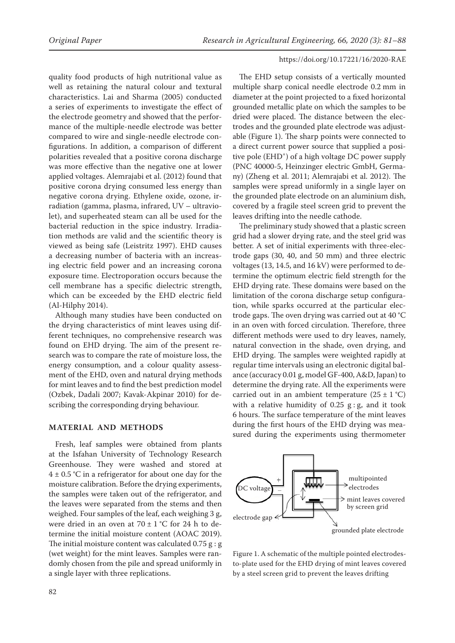quality food products of high nutritional value as well as retaining the natural colour and textural characteristics. Lai and Sharma (2005) conducted a series of experiments to investigate the effect of the electrode geometry and showed that the performance of the multiple-needle electrode was better compared to wire and single-needle electrode configurations. In addition, a comparison of different polarities revealed that a positive corona discharge was more effective than the negative one at lower applied voltages. Alemrajabi et al. (2012) found that positive corona drying consumed less energy than negative corona drying. Ethylene oxide, ozone, irradiation (gamma, plasma, infrared, UV – ultraviolet), and superheated steam can all be used for the bacterial reduction in the spice industry. Irradiation methods are valid and the scientific theory is viewed as being safe (Leistritz 1997). EHD causes a decreasing number of bacteria with an increasing electric field power and an increasing corona exposure time. Electroporation occurs because the cell membrane has a specific dielectric strength, which can be exceeded by the EHD electric field (Al-Hilphy 2014).

Although many studies have been conducted on the drying characteristics of mint leaves using different techniques, no comprehensive research was found on EHD drying. The aim of the present research was to compare the rate of moisture loss, the energy consumption, and a colour quality assessment of the EHD, oven and natural drying methods for mint leaves and to find the best prediction model (Ozbek, Dadali 2007; Kavak-Akpinar 2010) for describing the corresponding drying behaviour.

## **MATERIAL AND METHODS**

Fresh, leaf samples were obtained from plants at the Isfahan University of Technology Research Greenhouse. They were washed and stored at  $4 \pm 0.5$  °C in a refrigerator for about one day for the moisture calibration. Before the drying experiments, the samples were taken out of the refrigerator, and the leaves were separated from the stems and then weighed. Four samples of the leaf, each weighing 3 g, were dried in an oven at  $70 \pm 1$  °C for 24 h to determine the initial moisture content (AOAC 2019). The initial moisture content was calculated  $0.75$  g: g (wet weight) for the mint leaves. Samples were randomly chosen from the pile and spread uniformly in a single layer with three replications.

The EHD setup consists of a vertically mounted multiple sharp conical needle electrode 0.2 mm in diameter at the point projected to a fixed horizontal grounded metallic plate on which the samples to be dried were placed. The distance between the electrodes and the grounded plate electrode was adjustable (Figure 1). The sharp points were connected to a direct current power source that supplied a positive pole (EHD<sup>+</sup>) of a high voltage DC power supply (PNC 40000-5, Heinzinger electric GmbH, Germany) (Zheng et al. 2011; Alemrajabi et al. 2012). The samples were spread uniformly in a single layer on the grounded plate electrode on an aluminium dish, covered by a fragile steel screen grid to prevent the leaves drifting into the needle cathode.

The preliminary study showed that a plastic screen grid had a slower drying rate, and the steel grid was better. A set of initial experiments with three-electrode gaps (30, 40, and 50 mm) and three electric voltages (13, 14.5, and 16 kV) were performed to determine the optimum electric field strength for the EHD drying rate. These domains were based on the limitation of the corona discharge setup configuration, while sparks occurred at the particular electrode gaps. The oven drying was carried out at 40 °C in an oven with forced circulation. Therefore, three different methods were used to dry leaves, namely, natural convection in the shade, oven drying, and EHD drying. The samples were weighted rapidly at regular time intervals using an electronic digital balance (accuracy 0.01 g, model GF-400, A&D, Japan) to determine the drying rate. All the experiments were carried out in an ambient temperature  $(25 \pm 1 \degree C)$ with a relative humidity of  $0.25$  g: g, and it took 6 hours. The surface temperature of the mint leaves during the first hours of the EHD drying was measured during the experiments using thermometer



Figure 1. A schematic of the multiple pointed electrodesto-plate used for the EHD drying of mint leaves covered by a steel screen grid to prevent the leaves drifting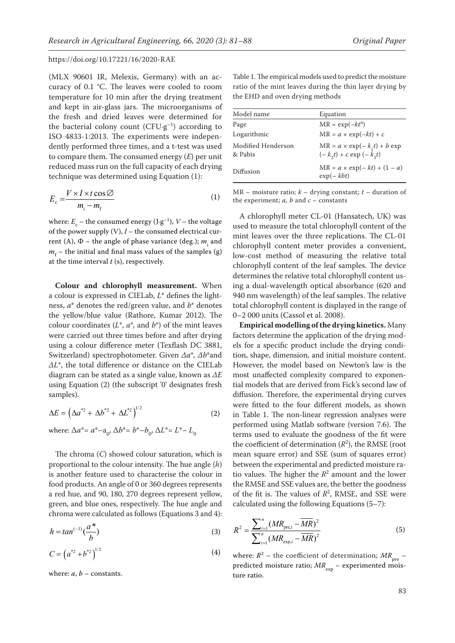(MLX 90601 IR, Melexis, Germany) with an accuracy of 0.1 °C. The leaves were cooled to room temperature for 10 min after the drying treatment and kept in air-glass jars. The microorganisms of the fresh and dried leaves were determined for the bacterial colony count  $(CFU·g^{-1})$  according to ISO 4833-1:2013. The experiments were independently performed three times, and a t-test was used to compare them. The consumed energy (*E*) per unit reduced mass run on the full capacity of each drying technique was determined using Equation (1):

$$
E_c = \frac{V \times I \times t \cos \varnothing}{m_i - m_f} \tag{1}
$$

where:  $E_c$  – the consumed energy (J·g<sup>-1</sup>),  $V$  – the voltage of the power supply (V), *I* – the consumed electrical current (A),  $\Phi$  – the angle of phase variance (deg.);  $m_{\rm i}$  and  $m_f$  – the initial and final mass values of the samples (g) at the time interval *t* (s), respectively.

**Colour and chlorophyll measurement.** When a colour is expressed in CIELab, *L*\* defines the lightness, *a*\* denotes the red/green value, and *b*\* denotes the yellow/blue value (Rathore, Kumar 2012). The colour coordinates  $(L^*, a^*,$  and  $b^*)$  of the mint leaves were carried out three times before and after drying using a colour difference meter (Texflash DC 3881, Switzerland) spectrophotometer. Given *Δa*\**, Δb*\*and *ΔL*\*, the total difference or distance on the CIELab diagram can be stated as a single value, known as *ΔE* using Equation (2) (the subscript '0' designates fresh samples).

$$
\Delta E = \left(\Delta a^{*2} + \Delta b^{*2} + \Delta L^{*2}\right)^{1/2} \tag{2}
$$

 $\Phi$  where:  $\Delta a^* = a^* - a_0$ ,  $\Delta b^* = b^* - b_0$ ,  $\Delta L^* = L^* - L_0$ 

The chroma (*C*) showed colour saturation, which is proportional to the colour intensity. The hue angle (*h*) is another feature used to characterise the colour in food products. An angle of 0 or 360 degrees represents a red hue, and 90, 180, 270 degrees represent yellow, green, and blue ones, respectively. The hue angle and chroma were calculated as follows (Equations 3 and 4):

$$
h = \tan^{(-1)}\left(\frac{a^*}{b}\right) \tag{3}
$$

$$
C = \left(a^{*2} + b^{*2}\right)^{1/2} \tag{4}
$$

where:  $a, b$  – constants.

Table 1. The empirical models used to predict the moisture ratio of the mint leaves during the thin layer drying by the EHD and oven drying methods

| Equation                                                           |
|--------------------------------------------------------------------|
| $MR = \exp(-kt^n)$                                                 |
| $MR = a \times \exp(-kt) + c$                                      |
| $MR = a \times \exp(-k_1 t) + b \exp$<br>$(-k_2t) + c \exp(-k_2t)$ |
| $MR = a \times \exp(-kt) + (1 - a)$<br>$\exp(-kbt)$                |
|                                                                    |

 $MR$  – moisture ratio;  $k$  – drying constant;  $t$  – duration of the experiment;  $a$ ,  $b$  and  $c$  – constants

A chlorophyll meter CL-01 (Hansatech, UK) was used to measure the total chlorophyll content of the mint leaves over the three replications. The CL-01 chlorophyll content meter provides a convenient, low-cost method of measuring the relative total chlorophyll content of the leaf samples. The device determines the relative total chlorophyll content using a dual-wavelength optical absorbance (620 and 940 nm wavelength) of the leaf samples. The relative total chlorophyll content is displayed in the range of 0–2 000 units (Cassol et al. 2008).

**Empirical modelling of the drying kinetics.** Many factors determine the application of the drying models for a specific product include the drying condition, shape, dimension, and initial moisture content. However, the model based on Newton's law is the most unaffected complexity compared to exponential models that are derived from Fick's second law of diffusion. Therefore, the experimental drying curves were fitted to the four different models, as shown in Table 1. The non-linear regression analyses were performed using Matlab software (version 7.6). The terms used to evaluate the goodness of the fit were the coefficient of determination  $(R^2)$ , the RMSE (root mean square error) and SSE (sum of squares error) between the experimental and predicted moisture ratio values. The higher the  $R^2$  amount and the lower the RMSE and SSE values are, the better the goodness of the fit is. The values of  $R^2$ , RMSE, and SSE were calculated using the following Equations (5–7):

$$
R^{2} = \frac{\sum_{i=1}^{n} (MR_{\text{pre},i} - \overline{MR})^{2}}{\sum_{i=1}^{n} (MR_{\text{exp},i} - \overline{MR})^{2}}
$$
(5)

where:  $R^2$  – the coefficient of determination;  $MR_{\text{pre}}$  – predicted moisture ratio;  $MR_{\text{exp}}$  – experimented moisture ratio.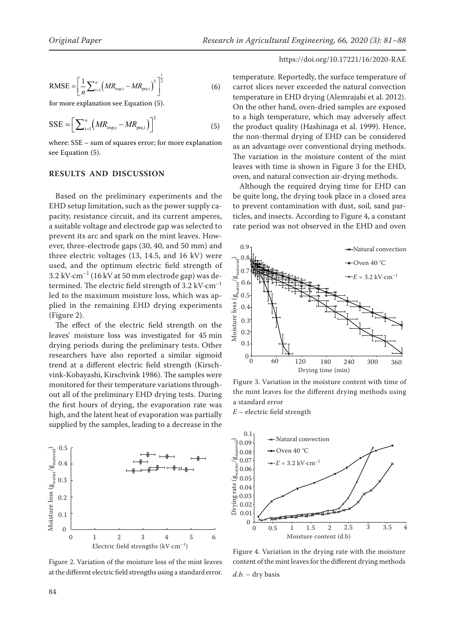RMSE = 
$$
\left[\frac{1}{n}\sum_{i=1}^{n} (MR_{\text{exp,i}} - MR_{\text{pre,i}})^{2}\right]^{\frac{1}{2}}
$$
 (6)

for more explanation see Equation (5).

$$
SSE = \left[\sum_{i=1}^{n} \left(MR_{\text{exp,i}} - MR_{\text{pre,i}}\right)\right]^2 \tag{5}
$$

where: SSE – sum of squares error; for more explanation see Equation (5).

## **RESULTS AND DISCUSSION**

Based on the preliminary experiments and the EHD setup limitation, such as the power supply capacity, resistance circuit, and its current amperes, a suitable voltage and electrode gap was selected to prevent its arc and spark on the mint leaves. However, three-electrode gaps (30, 40, and 50 mm) and three electric voltages (13, 14.5, and 16 kV) were used, and the optimum electric field strength of 3.2 kV·cm<sup>-1</sup> (16 kV at 50 mm electrode gap) was determined. The electric field strength of 3.2 kV·cm–1 led to the maximum moisture loss, which was applied in the remaining EHD drying experiments (Figure 2).

The effect of the electric field strength on the leaves' moisture loss was investigated for 45 min drying periods during the preliminary tests. Other researchers have also reported a similar sigmoid trend at a different electric field strength (Kirschvink-Kobayashi, Kirschvink 1986). The samples were monitored for their temperature variations throughout all of the preliminary EHD drying tests. During the first hours of drying, the evaporation rate was high, and the latent heat of evaporation was partially supplied by the samples, leading to a decrease in the



Figure 2. Variation of the moisture loss of the mint leaves at the different electric field strengths using a standard error.

temperature. Reportedly, the surface temperature of carrot slices never exceeded the natural convection temperature in EHD drying (Alemrajabi et al. 2012). On the other hand, oven-dried samples are exposed to a high temperature, which may adversely affect the product quality (Hashinaga et al. 1999). Hence, the non-thermal drying of EHD can be considered as an advantage over conventional drying methods. The variation in the moisture content of the mint leaves with time is shown in Figure 3 for the EHD, oven, and natural convection air-drying methods.

Although the required drying time for EHD can be quite long, the drying took place in a closed area to prevent contamination with dust, soil, sand particles, and insects. According to Figure 4, a constant rate period was not observed in the EHD and oven



Figure 3. Variation in the moisture content with time of the mint leaves for the different drying methods using a standard error

*E* – electric field strength



*d.b.* – dry basis Figure 4. Variation in the drying rate with the moisture content of the mint leaves for the different drying methods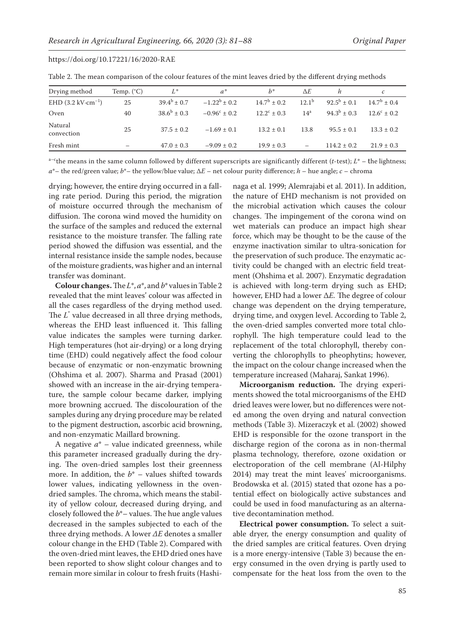| Drying method                               | Temp. $(^{\circ}C)$ | $L^*$              | $a^*$                 | $h^*$                  | $\Delta E$               |                  | $\mathcal{C}$          |
|---------------------------------------------|---------------------|--------------------|-----------------------|------------------------|--------------------------|------------------|------------------------|
| EHD $(3.2 \text{ kV} \cdot \text{cm}^{-1})$ | 25                  | $39.4^{b} \pm 0.7$ | $-1.22^b \pm 0.2$     | $14.7^{\rm b} \pm 0.2$ | $12.1^{b}$               | $92.5^b \pm 0.1$ | $14.7^{\rm b} \pm 0.4$ |
| Oven                                        | 40                  | $38.6^b \pm 0.3$   | $-0.96^{\circ} + 0.2$ | $12.2^{\circ}$ ± 0.3   | 14 <sup>a</sup>          | $94.3^{b} + 0.3$ | $12.6^c + 0.2$         |
| Natural<br>convection                       | 25                  | $37.5 \pm 0.2$     | $-1.69 \pm 0.1$       | $13.2 \pm 0.1$         | 13.8                     | $95.5 \pm 0.1$   | $13.3 \pm 0.2$         |
| Fresh mint                                  |                     | $47.0 \pm 0.3$     | $-9.09 \pm 0.2$       | $19.9 \pm 0.3$         | $\overline{\phantom{0}}$ | $114.2 \pm 0.2$  | $21.9 \pm 0.3$         |

Table 2. The mean comparison of the colour features of the mint leaves dried by the different drying methods

 $a$ <sup>-c</sup>the means in the same column followed by different superscripts are significantly different (*t*-test);  $L^*$  – the lightness; *a*\*– the red/green value; *b*\*– the yellow/blue value; ∆*E* – net colour purity difference; *h* – hue angle; *c* – chroma

drying; however, the entire drying occurred in a falling rate period. During this period, the migration of moisture occurred through the mechanism of diffusion. The corona wind moved the humidity on the surface of the samples and reduced the external resistance to the moisture transfer. The falling rate period showed the diffusion was essential, and the internal resistance inside the sample nodes, because of the moisture gradients, was higher and an internal transfer was dominant.

**Colour changes.** The *L*\*, *a*\*, and *b*\* values in Table 2 revealed that the mint leaves' colour was affected in all the cases regardless of the drying method used. The  $L^*$  value decreased in all three drying methods, whereas the EHD least influenced it. This falling value indicates the samples were turning darker. High temperatures (hot air-drying) or a long drying time (EHD) could negatively affect the food colour because of enzymatic or non-enzymatic browning [\(Ohshima](http://www.sciencedirect.com/science/article/pii/S0304388606000738) et al. 2007). Sharma and Prasad (2001) showed with an increase in the air-drying temperature, the sample colour became darker, implying more browning accrued. The discolouration of the samples during any drying procedure may be related to the pigment destruction, ascorbic acid browning, and non-enzymatic Maillard browning.

A negative *a*\* – value indicated greenness, while this parameter increased gradually during the drying. The oven-dried samples lost their greenness more. In addition, the  $b^*$  – values shifted towards lower values, indicating yellowness in the ovendried samples. The chroma, which means the stability of yellow colour, decreased during drying, and closely followed the *b*\*– values. The hue angle values decreased in the samples subjected to each of the three drying methods. A lower *ΔE* denotes a smaller colour change in the EHD (Table 2). Compared with the oven-dried mint leaves, the EHD dried ones have been reported to show slight colour changes and to remain more similar in colour to fresh fruits (Hashinaga et al. 1999; Alemrajabi et al. 2011). In addition, the nature of EHD mechanism is not provided on the microbial activation which causes the colour changes. The impingement of the corona wind on wet materials can produce an impact high shear force, which may be thought to be the cause of the enzyme inactivation similar to ultra-sonication for the preservation of such produce. The enzymatic activity could be changed with an electric field treatment ([Ohshima](http://www.sciencedirect.com/science/article/pii/S0304388606000738) et al. 2007). Enzymatic degradation is achieved with long-term drying such as EHD; however, EHD had a lower ∆*E.* The degree of colour change was dependent on the drying temperature, drying time, and oxygen level. According to Table 2, the oven-dried samples converted more total chlorophyll. The high temperature could lead to the replacement of the total chlorophyll, thereby converting the chlorophylls to pheophytins; however, the impact on the colour change increased when the temperature increased (Maharaj, Sankat 1996).

**Microorganism reduction.** The drying experiments showed the total microorganisms of the EHD dried leaves were lower, but no differences were noted among the oven drying and natural convection methods (Table 3). Mizeraczyk et al. (2002) showed EHD is responsible for the ozone transport in the discharge region of the corona as in non-thermal plasma technology, therefore, ozone oxidation or electroporation of the cell membrane (Al-Hilphy 2014) may treat the mint leaves' microorganisms. Brodowska et al. (2015) stated that ozone has a potential effect on biologically active substances and could be used in food manufacturing as an alternative decontamination method.

**Electrical power consumption.** To select a suitable dryer, the energy consumption and quality of the dried samples are critical features. Oven drying is a more energy-intensive (Table 3) because the energy consumed in the oven drying is partly used to compensate for the heat loss from the oven to the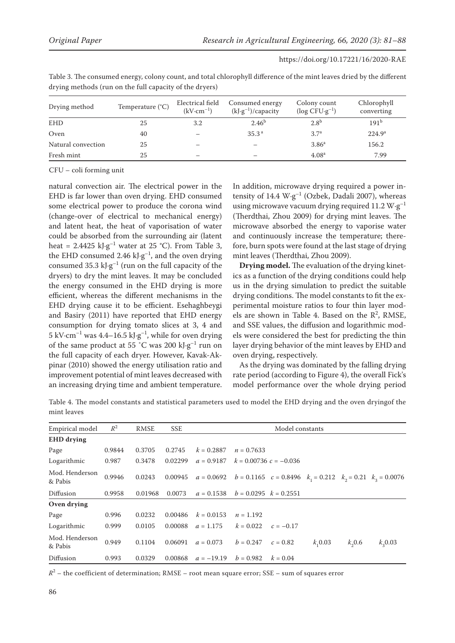| Temperature $(^{\circ}C)$<br>Drying method |    | Electrical field<br>$(kV \cdot cm^{-1})$ | Consumed energy<br>$(kJ·g-1)/capacity$ | Colony count<br>$(\log C FU \cdot g^{-1})$ | Chlorophyll<br>converting |  |
|--------------------------------------------|----|------------------------------------------|----------------------------------------|--------------------------------------------|---------------------------|--|
| <b>EHD</b>                                 | 25 | 3.2                                      | 2.46 <sup>b</sup>                      | 2.8 <sup>b</sup>                           | 191 <sup>b</sup>          |  |
| Oven                                       | 40 |                                          | 35.3 <sup>a</sup>                      | 3.7 <sup>a</sup>                           | $224.9^{\circ}$           |  |
| Natural convection                         | 25 |                                          |                                        | 3.86 <sup>a</sup>                          | 156.2                     |  |
| Fresh mint                                 | 25 |                                          |                                        | 4.08 <sup>a</sup>                          | 7.99                      |  |

Table 3. The consumed energy, colony count, and total chlorophyll difference of the mint leaves dried by the different drying methods (run on the full capacity of the dryers)

CFU – coli forming unit

natural convection air. The electrical power in the EHD is far lower than oven drying. EHD consumed some electrical power to produce the corona wind (change-over of electrical to mechanical energy) and latent heat, the heat of vaporisation of water could be absorbed from the surrounding air (latent heat = 2.4425 kJ·g<sup>-1</sup> water at 25 °C). From Table 3, the EHD consumed 2.46  $kJ·g<sup>-1</sup>$ , and the oven drying consumed 35.3 kJ·g<sup>-1</sup> (run on the full capacity of the dryers) to dry the mint leaves. It may be concluded the energy consumed in the EHD drying is more efficient, whereas the different mechanisms in the EHD drying cause it to be efficient. Esehaghbeygi and Basiry (2011) have reported that EHD energy consumption for drying tomato slices at 3, 4 and 5 kV·cm<sup>-1</sup> was 4.4-16.5 kJ·g<sup>-1</sup>, while for oven drying of the same product at 55 °C was 200 kJ·g<sup>-1</sup> run on the full capacity of each dryer. However, Kavak-Akpinar (2010) showed the energy utilisation ratio and improvement potential of mint leaves decreased with an increasing drying time and ambient temperature.

In addition, microwave drying required a power intensity of 14.4  $W \cdot g^{-1}$  (Ozbek, Dadali 2007), whereas using microwave vacuum drying required 11.2  $W \cdot g^{-1}$ (Therdthai, Zhou 2009) for drying mint leaves. The microwave absorbed the energy to vaporise water and continuously increase the temperature; therefore, burn spots were found at the last stage of drying mint leaves (Therdthai, Zhou 2009).

**Drying model.** The evaluation of the drying kinetics as a function of the drying conditions could help us in the drying simulation to predict the suitable drying conditions. The model constants to fit the experimental moisture ratios to four thin layer models are shown in Table 4. Based on the  $\mathbb{R}^2$ , RMSE, and SSE values, the diffusion and logarithmic models were considered the best for predicting the thin layer drying behavior of the mint leaves by EHD and oven drying, respectively.

As the drying was dominated by the falling drying rate period (according to Figure 4), the overall Fick's model performance over the whole drying period

Table 4. The model constants and statistical parameters used to model the EHD drying and the oven dryingof the mint leaves

| Empirical model           | $R^2$  | <b>RMSE</b> | <b>SSE</b> | Model constants |                           |             |         |            |                                                                                  |
|---------------------------|--------|-------------|------------|-----------------|---------------------------|-------------|---------|------------|----------------------------------------------------------------------------------|
| <b>EHD</b> drying         |        |             |            |                 |                           |             |         |            |                                                                                  |
| Page                      | 0.9844 | 0.3705      | 0.2745     | $k = 0.2887$    | $n = 0.7633$              |             |         |            |                                                                                  |
| Logarithmic               | 0.987  | 0.3478      | 0.02299    | $a = 0.9187$    | $k = 0.00736$ c = -0.036  |             |         |            |                                                                                  |
| Mod. Henderson<br>& Pabis | 0.9946 | 0.0243      | 0.00945    |                 |                           |             |         |            | $a = 0.0692$ $b = 0.1165$ $c = 0.8496$ $k_1 = 0.212$ $k_2 = 0.21$ $k_3 = 0.0076$ |
| Diffusion                 | 0.9958 | 0.01968     | 0.0073     | $a = 0.1538$    | $b = 0.0295$ $k = 0.2551$ |             |         |            |                                                                                  |
| Oven drying               |        |             |            |                 |                           |             |         |            |                                                                                  |
| Page                      | 0.996  | 0.0232      | 0.00486    | $k = 0.0153$    | $n = 1.192$               |             |         |            |                                                                                  |
| Logarithmic               | 0.999  | 0.0105      | 0.00088    | $a = 1.175$     | $k = 0.022$               | $c = -0.17$ |         |            |                                                                                  |
| Mod. Henderson<br>& Pabis | 0.949  | 0.1104      | 0.06091    | $a = 0.073$     | $b = 0.247$               | $c = 0.82$  | k, 0.03 | $k_{0.06}$ | $k_{2}0.03$                                                                      |
| Diffusion                 | 0.993  | 0.0329      | 0.00868    | $a = -19.19$    | $b = 0.982$               | $k = 0.04$  |         |            |                                                                                  |

 $R^2$  – the coefficient of determination; RMSE – root mean square error; SSE – sum of squares error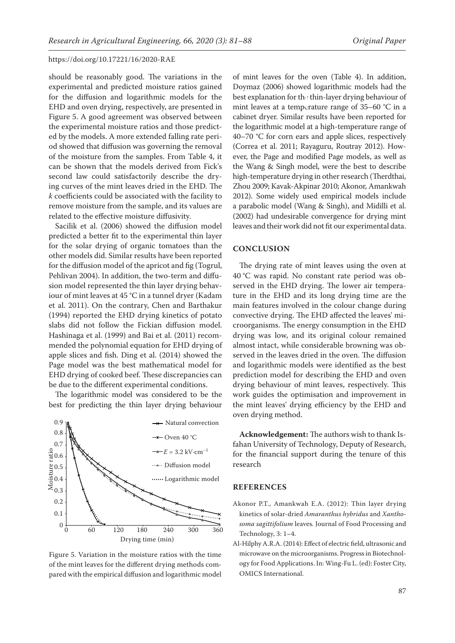should be reasonably good. The variations in the experimental and predicted moisture ratios gained for the diffusion and logarithmic models for the EHD and oven drying, respectively, are presented in Figure 5. A good agreement was observed between the experimental moisture ratios and those predicted by the models. A more extended falling rate period showed that diffusion was governing the removal of the moisture from the samples. From Table 4, it can be shown that the models derived from Fick's second law could satisfactorily describe the drying curves of the mint leaves dried in the EHD. The *k* coefficients could be associated with the facility to remove moisture from the sample, and its values are related to the effective moisture diffusivity.

Sacilik et al. (2006) showed the diffusion model predicted a better fit to the experimental thin layer for the solar drying of organic tomatoes than the other models did. Similar results have been reported for the diffusion model of the apricot and fig (Togrul, Pehlivan 2004). In addition, the two-term and diffusion model represented the thin layer drying behaviour of mint leaves at 45 °C in a tunnel dryer (Kadam et al. 2011). On the contrary, Chen and Barthakur (1994) reported the EHD drying kinetics of potato slabs did not follow the Fickian diffusion model. Hashinaga et al. (1999) and Bai et al. (2011) recommended the polynomial equation for EHD drying of apple slices and fish. Ding et al. (2014) showed the Page model was the best mathematical model for EHD drying of cooked beef. These discrepancies can be due to the different experimental conditions.

The logarithmic model was considered to be the best for predicting the thin layer drying behaviour



Figure 5. Variation in the moisture ratios with the time of the mint leaves for the different drying methods compared with the empirical diffusion and logarithmic model

of mint leaves for the oven (Table 4). In addition, Doymaz (2006) showed logarithmic models had the best explanation for the thin-layer drying behaviour of mint leaves at a temperature range of 35–60 °C in a cabinet dryer. Similar results have been reported for the logarithmic model at a high-temperature range of 40–70 °C for corn ears and apple slices, respectively (Correa et al. 2011; Rayaguru, Routray 2012). However, the Page and modified Page models, as well as the Wang & Singh model, were the best to describe high-temperature drying in other research (Therdthai, Zhou 2009; Kavak-Akpinar 2010; Akonor, Amankwah 2012). Some widely used empirical models include a parabolic model (Wang & Singh), and Midilli et al. (2002) had undesirable convergence for drying mint leaves and their work did not fit our experimental data.

#### **CONCLUSION**

The drying rate of mint leaves using the oven at 40 °C was rapid. No constant rate period was observed in the EHD drying. The lower air temperature in the EHD and its long drying time are the main features involved in the colour change during convective drying. The EHD affected the leaves' microorganisms. The energy consumption in the EHD drying was low, and its original colour remained almost intact, while considerable browning was observed in the leaves dried in the oven. The diffusion and logarithmic models were identified as the best prediction model for describing the EHD and oven drying behaviour of mint leaves, respectively. This work guides the optimisation and improvement in the mint leaves' drying efficiency by the EHD and oven drying method.

**Acknowledgement:** The authors wish to thank Isfahan University of Technology, Deputy of Research, for the financial support during the tenure of this research

#### **REFERENCES**

- Akonor P.T., Amankwah E.A. (2012): Thin layer drying kinetics of solar-dried *Amaranthus hybridus* and *Xanthosoma sagittifolium* leaves*.* Journal of Food Processing and Technology, 3: 1–4.
- Al-Hilphy A.R.A. (2014): Effect of electric field, ultrasonic and microwave on the microorganisms. Progress in Biotechnology for Food Applications. In: Wing-Fu L. (ed): Foster City, OMICS International.